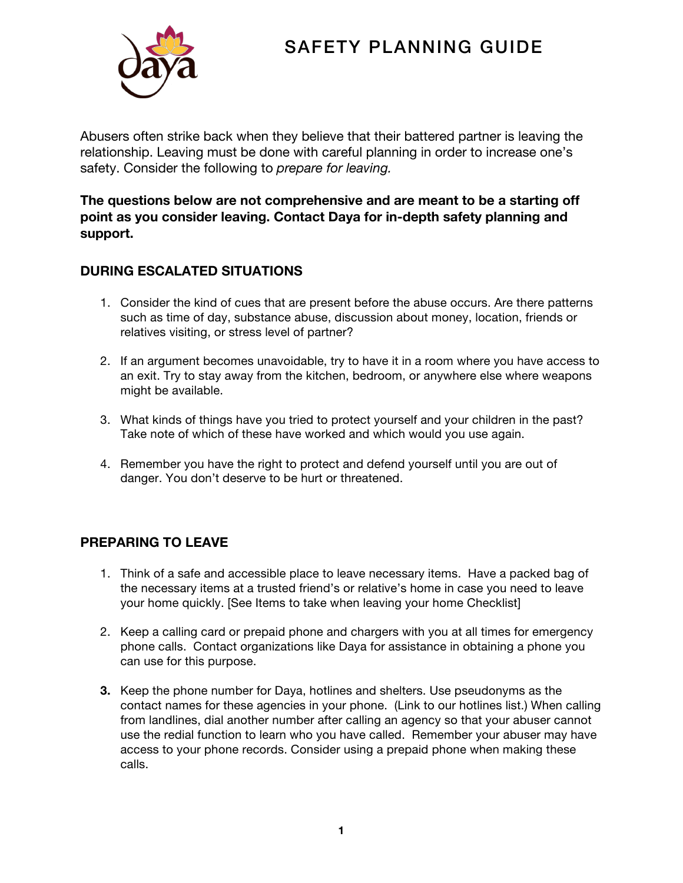# SAFETY PLANNING GUIDE



Abusers often strike back when they believe that their battered partner is leaving the relationship. Leaving must be done with careful planning in order to increase one's safety. Consider the following to *prepare for leaving.*

**The questions below are not comprehensive and are meant to be a starting off point as you consider leaving. Contact Daya for in-depth safety planning and support.** 

# **DURING ESCALATED SITUATIONS**

- 1. Consider the kind of cues that are present before the abuse occurs. Are there patterns such as time of day, substance abuse, discussion about money, location, friends or relatives visiting, or stress level of partner?
- 2. If an argument becomes unavoidable, try to have it in a room where you have access to an exit. Try to stay away from the kitchen, bedroom, or anywhere else where weapons might be available.
- 3. What kinds of things have you tried to protect yourself and your children in the past? Take note of which of these have worked and which would you use again.
- 4. Remember you have the right to protect and defend yourself until you are out of danger. You don't deserve to be hurt or threatened.

# **PREPARING TO LEAVE**

- 1. Think of a safe and accessible place to leave necessary items. Have a packed bag of the necessary items at a trusted friend's or relative's home in case you need to leave your home quickly. [See Items to take when leaving your home Checklist]
- 2. Keep a calling card or prepaid phone and chargers with you at all times for emergency phone calls. Contact organizations like Daya for assistance in obtaining a phone you can use for this purpose.
- **3.** Keep the phone number for Daya, hotlines and shelters. Use pseudonyms as the contact names for these agencies in your phone. (Link to our hotlines list.) When calling from landlines, dial another number after calling an agency so that your abuser cannot use the redial function to learn who you have called. Remember your abuser may have access to your phone records. Consider using a prepaid phone when making these calls.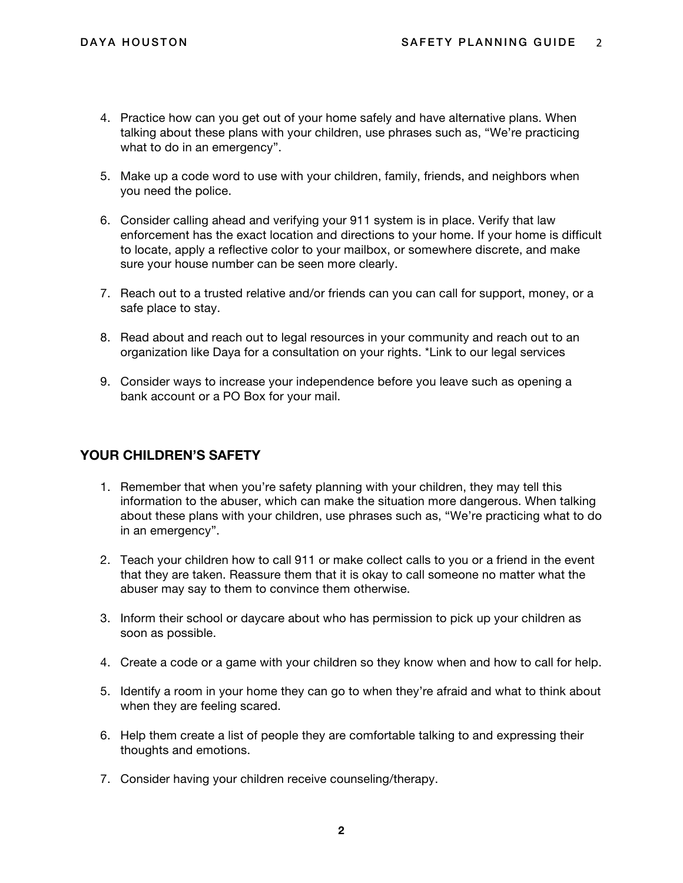- 4. Practice how can you get out of your home safely and have alternative plans. When talking about these plans with your children, use phrases such as, "We're practicing what to do in an emergency".
- 5. Make up a code word to use with your children, family, friends, and neighbors when you need the police.
- 6. Consider calling ahead and verifying your 911 system is in place. Verify that law enforcement has the exact location and directions to your home. If your home is difficult to locate, apply a reflective color to your mailbox, or somewhere discrete, and make sure your house number can be seen more clearly.
- 7. Reach out to a trusted relative and/or friends can you can call for support, money, or a safe place to stay.
- 8. Read about and reach out to legal resources in your community and reach out to an organization like Daya for a consultation on your rights. \*Link to our legal services
- 9. Consider ways to increase your independence before you leave such as opening a bank account or a PO Box for your mail.

## **YOUR CHILDREN'S SAFETY**

- 1. Remember that when you're safety planning with your children, they may tell this information to the abuser, which can make the situation more dangerous. When talking about these plans with your children, use phrases such as, "We're practicing what to do in an emergency".
- 2. Teach your children how to call 911 or make collect calls to you or a friend in the event that they are taken. Reassure them that it is okay to call someone no matter what the abuser may say to them to convince them otherwise.
- 3. Inform their school or daycare about who has permission to pick up your children as soon as possible.
- 4. Create a code or a game with your children so they know when and how to call for help.
- 5. Identify a room in your home they can go to when they're afraid and what to think about when they are feeling scared.
- 6. Help them create a list of people they are comfortable talking to and expressing their thoughts and emotions.
- 7. Consider having your children receive counseling/therapy.